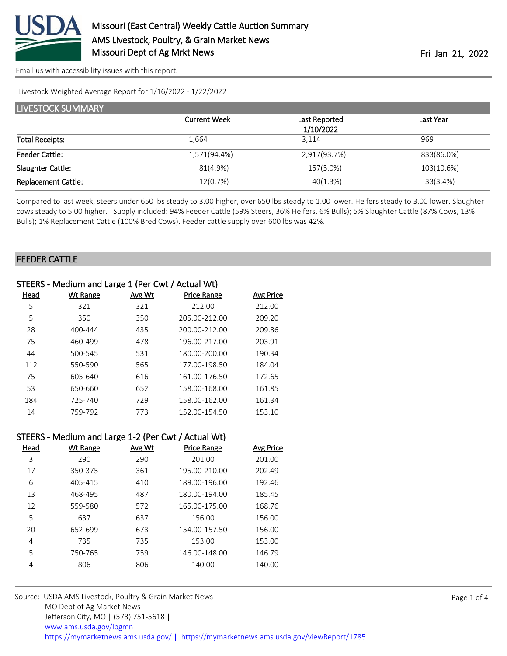

[Email us with accessibility issues with this report.](mailto:mars@ams.usda.gov?subject=508%20issue)

Livestock Weighted Average Report for 1/16/2022 - 1/22/2022

| LIVESTOCK SUMMARY          |                     |               |            |
|----------------------------|---------------------|---------------|------------|
|                            | <b>Current Week</b> | Last Reported | Last Year  |
|                            |                     | 1/10/2022     |            |
| <b>Total Receipts:</b>     | 1.664               | 3.114         | 969        |
| <b>Feeder Cattle:</b>      | 1,571(94.4%)        | 2,917(93.7%)  | 833(86.0%) |
| Slaughter Cattle:          | 81(4.9%)            | 157(5.0%)     | 103(10.6%) |
| <b>Replacement Cattle:</b> | 12(0.7%)            | 40(1.3%)      | 33(3.4%)   |

Compared to last week, steers under 650 lbs steady to 3.00 higher, over 650 lbs steady to 1.00 lower. Heifers steady to 3.00 lower. Slaughter cows steady to 5.00 higher. Supply included: 94% Feeder Cattle (59% Steers, 36% Heifers, 6% Bulls); 5% Slaughter Cattle (87% Cows, 13% Bulls); 1% Replacement Cattle (100% Bred Cows). Feeder cattle supply over 600 lbs was 42%.

### FEEDER CATTLE

|      | STEERS - Medium and Large 1 (Per Cwt / Actual Wt) |        |                    |                  |
|------|---------------------------------------------------|--------|--------------------|------------------|
| Head | Wt Range                                          | Avg Wt | <b>Price Range</b> | <b>Avg Price</b> |
| 5    | 321                                               | 321    | 212.00             | 212.00           |
| 5    | 350                                               | 350    | 205.00-212.00      | 209.20           |
| 28   | 400-444                                           | 435    | 200.00-212.00      | 209.86           |
| 75   | 460-499                                           | 478    | 196.00-217.00      | 203.91           |
| 44   | 500-545                                           | 531    | 180.00-200.00      | 190.34           |
| 112  | 550-590                                           | 565    | 177.00-198.50      | 184.04           |
| 75   | 605-640                                           | 616    | 161.00-176.50      | 172.65           |
| 53   | 650-660                                           | 652    | 158.00-168.00      | 161.85           |
| 184  | 725-740                                           | 729    | 158.00-162.00      | 161.34           |
| 14   | 759-792                                           | 773    | 152.00-154.50      | 153.10           |
|      |                                                   |        |                    |                  |

|      | STEERS - Medium and Large 1-2 (Per Cwt / Actual Wt) |               |                    |                  |
|------|-----------------------------------------------------|---------------|--------------------|------------------|
| Head | <b>Wt Range</b>                                     | <b>Avg Wt</b> | <b>Price Range</b> | <b>Avg Price</b> |
| 3    | 290                                                 | 290           | 201.00             | 201.00           |
| 17   | 350-375                                             | 361           | 195.00-210.00      | 202.49           |
| 6    | 405-415                                             | 410           | 189.00-196.00      | 192.46           |
| 13   | 468-495                                             | 487           | 180.00-194.00      | 185.45           |
| 12   | 559-580                                             | 572           | 165.00-175.00      | 168.76           |
| 5    | 637                                                 | 637           | 156.00             | 156.00           |
| 20   | 652-699                                             | 673           | 154.00-157.50      | 156.00           |
| 4    | 735                                                 | 735           | 153.00             | 153.00           |
| 5    | 750-765                                             | 759           | 146.00-148.00      | 146.79           |
| 4    | 806                                                 | 806           | 140.00             | 140.00           |
|      |                                                     |               |                    |                  |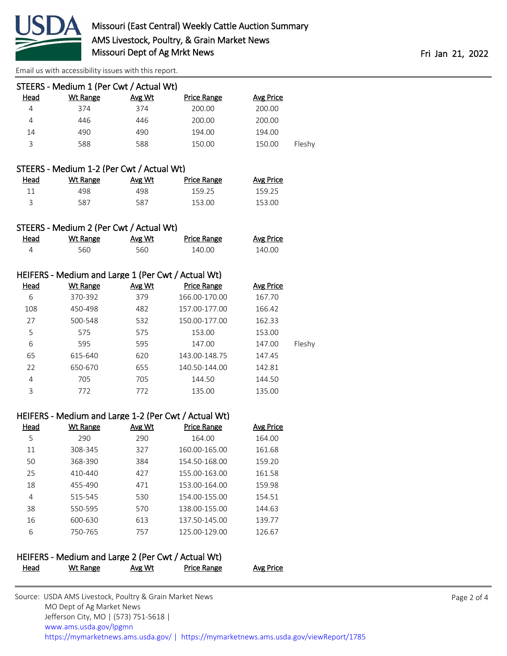

[Email us with accessibility issues with this report.](mailto:mars@ams.usda.gov?subject=508%20issue)

Jefferson City, MO | (573) 751-5618 |

|             | STEERS - Medium 1 (Per Cwt / Actual Wt)            |        |                                                                            |                  |        |  |
|-------------|----------------------------------------------------|--------|----------------------------------------------------------------------------|------------------|--------|--|
| <b>Head</b> | <b>Wt Range</b>                                    | Avg Wt | <b>Price Range</b>                                                         | <b>Avg Price</b> |        |  |
| 4           | 374                                                | 374    | 200.00                                                                     | 200.00           |        |  |
| 4           | 446                                                | 446    | 200.00                                                                     | 200.00           |        |  |
| 14          | 490                                                | 490    | 194.00                                                                     | 194.00           |        |  |
| 3           | 588                                                | 588    | 150.00                                                                     | 150.00           | Fleshy |  |
|             | STEERS - Medium 1-2 (Per Cwt / Actual Wt)          |        |                                                                            |                  |        |  |
| <u>Head</u> | <b>Wt Range</b>                                    | Avg Wt | <b>Price Range</b>                                                         | <b>Avg Price</b> |        |  |
| 11          | 498                                                | 498    | 159.25                                                                     | 159.25           |        |  |
| 3           | 587                                                | 587    | 153.00                                                                     | 153.00           |        |  |
|             |                                                    |        |                                                                            |                  |        |  |
|             | STEERS - Medium 2 (Per Cwt / Actual Wt)            |        |                                                                            |                  |        |  |
| <b>Head</b> | <b>Wt Range</b>                                    | Avg Wt | <b>Price Range</b>                                                         | <b>Avg Price</b> |        |  |
| 4           | 560                                                | 560    | 140.00                                                                     | 140.00           |        |  |
|             | HEIFERS - Medium and Large 1 (Per Cwt / Actual Wt) |        |                                                                            |                  |        |  |
| <b>Head</b> | <b>Wt Range</b>                                    | Avg Wt | <b>Price Range</b>                                                         | <b>Avg Price</b> |        |  |
| 6           | 370-392                                            | 379    | 166.00-170.00                                                              | 167.70           |        |  |
| 108         | 450-498                                            | 482    | 157.00-177.00                                                              | 166.42           |        |  |
| 27          | 500-548                                            | 532    | 150.00-177.00                                                              | 162.33           |        |  |
| 5           | 575                                                | 575    | 153.00                                                                     | 153.00           |        |  |
| 6           | 595                                                | 595    | 147.00                                                                     | 147.00           | Fleshy |  |
| 65          | 615-640                                            | 620    | 143.00-148.75                                                              | 147.45           |        |  |
| 22          | 650-670                                            | 655    | 140.50-144.00                                                              | 142.81           |        |  |
| 4           | 705                                                | 705    | 144.50                                                                     | 144.50           |        |  |
| 3           | 772                                                | 772    | 135.00                                                                     | 135.00           |        |  |
|             |                                                    |        |                                                                            |                  |        |  |
| <b>Head</b> | <b>Wt Range</b>                                    | Avg Wt | HEIFERS - Medium and Large 1-2 (Per Cwt / Actual Wt)<br><b>Price Range</b> | <b>Avg Price</b> |        |  |
| 5           | 290                                                | 290    | 164.00                                                                     | 164.00           |        |  |
| 11          | 308-345                                            | 327    | 160.00-165.00                                                              | 161.68           |        |  |
| 50          | 368-390                                            | 384    | 154.50-168.00                                                              | 159.20           |        |  |
| 25          | 410-440                                            | 427    | 155.00-163.00                                                              | 161.58           |        |  |
| 18          | 455-490                                            | 471    | 153.00-164.00                                                              | 159.98           |        |  |
| 4           | 515-545                                            | 530    | 154.00-155.00                                                              | 154.51           |        |  |
| 38          | 550-595                                            | 570    | 138.00-155.00                                                              | 144.63           |        |  |
| 16          | 600-630                                            | 613    | 137.50-145.00                                                              | 139.77           |        |  |
| 6           | 750-765                                            | 757    | 125.00-129.00                                                              | 126.67           |        |  |
|             |                                                    |        |                                                                            |                  |        |  |
|             | HEIFERS - Medium and Large 2 (Per Cwt / Actual Wt) |        |                                                                            |                  |        |  |
| <b>Head</b> | <b>Wt Range</b>                                    | Avg Wt | <b>Price Range</b>                                                         | <b>Avg Price</b> |        |  |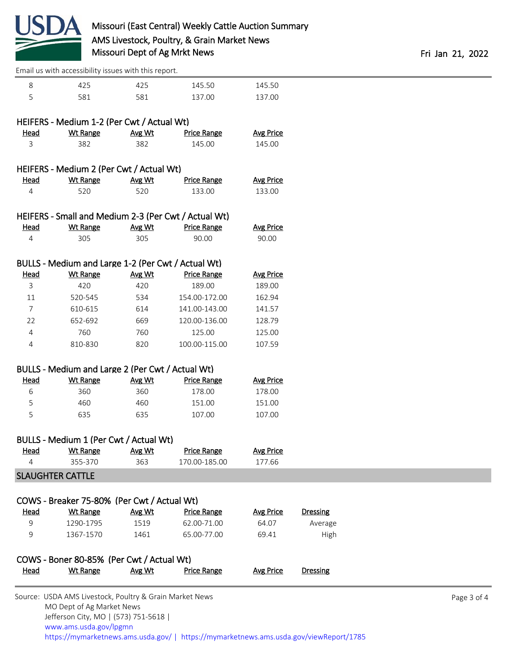

|                | Email us with accessibility issues with this report.    |               |                    |                  |                 |             |
|----------------|---------------------------------------------------------|---------------|--------------------|------------------|-----------------|-------------|
| 8              | 425                                                     | 425           | 145.50             | 145.50           |                 |             |
| 5              | 581                                                     | 581           | 137.00             | 137.00           |                 |             |
|                |                                                         |               |                    |                  |                 |             |
|                | HEIFERS - Medium 1-2 (Per Cwt / Actual Wt)              |               |                    |                  |                 |             |
| Head           | <b>Wt Range</b>                                         | Avg Wt        | <b>Price Range</b> | <b>Avg Price</b> |                 |             |
| 3              | 382                                                     | 382           | 145.00             | 145.00           |                 |             |
|                | HEIFERS - Medium 2 (Per Cwt / Actual Wt)                |               |                    |                  |                 |             |
| <b>Head</b>    | <b>Wt Range</b>                                         | Avg Wt        | <b>Price Range</b> | <b>Avg Price</b> |                 |             |
| 4              | 520                                                     | 520           | 133.00             | 133.00           |                 |             |
|                |                                                         |               |                    |                  |                 |             |
|                | HEIFERS - Small and Medium 2-3 (Per Cwt / Actual Wt)    |               |                    |                  |                 |             |
| <b>Head</b>    | <b>Wt Range</b>                                         | Avg Wt        | <b>Price Range</b> | <b>Avg Price</b> |                 |             |
| 4              | 305                                                     | 305           | 90.00              | 90.00            |                 |             |
|                | BULLS - Medium and Large 1-2 (Per Cwt / Actual Wt)      |               |                    |                  |                 |             |
| <u>Head</u>    | <b>Wt Range</b>                                         | Avg Wt        | <b>Price Range</b> | <b>Avg Price</b> |                 |             |
| 3              | 420                                                     | 420           | 189.00             | 189.00           |                 |             |
| 11             | 520-545                                                 | 534           | 154.00-172.00      | 162.94           |                 |             |
| $\overline{7}$ | 610-615                                                 | 614           | 141.00-143.00      | 141.57           |                 |             |
| 22             | 652-692                                                 | 669           | 120.00-136.00      | 128.79           |                 |             |
| 4              | 760                                                     | 760           | 125.00             | 125.00           |                 |             |
| 4              | 810-830                                                 | 820           | 100.00-115.00      | 107.59           |                 |             |
|                |                                                         |               |                    |                  |                 |             |
|                | BULLS - Medium and Large 2 (Per Cwt / Actual Wt)        |               |                    |                  |                 |             |
| Head           | <b>Wt Range</b>                                         | Avg Wt        | <b>Price Range</b> | <b>Avg Price</b> |                 |             |
| 6              | 360                                                     | 360           | 178.00             | 178.00           |                 |             |
| 5              | 460                                                     | 460           | 151.00             | 151.00           |                 |             |
| 5              | 635                                                     | 635           | 107.00             | 107.00           |                 |             |
|                | BULLS - Medium 1 (Per Cwt / Actual Wt)                  |               |                    |                  |                 |             |
| <u>Head</u>    | <b>Wt Range</b>                                         | Avg Wt        | <b>Price Range</b> | <b>Avg Price</b> |                 |             |
| 4              | 355-370                                                 | 363           | 170.00-185.00      | 177.66           |                 |             |
|                | <b>SLAUGHTER CATTLE</b>                                 |               |                    |                  |                 |             |
|                |                                                         |               |                    |                  |                 |             |
|                | COWS - Breaker 75-80% (Per Cwt / Actual Wt)             |               |                    |                  |                 |             |
| <u>Head</u>    | <b>Wt Range</b>                                         | Avg Wt        | <b>Price Range</b> | <b>Avg Price</b> | <b>Dressing</b> |             |
| 9              | 1290-1795                                               | 1519          | 62.00-71.00        | 64.07            | Average         |             |
| 9              | 1367-1570                                               | 1461          | 65.00-77.00        | 69.41            | High            |             |
|                | COWS - Boner 80-85% (Per Cwt / Actual Wt)               |               |                    |                  |                 |             |
| <u>Head</u>    | <b>Wt Range</b>                                         | <u>Avg Wt</u> | <b>Price Range</b> | <b>Avg Price</b> | <b>Dressing</b> |             |
|                |                                                         |               |                    |                  |                 |             |
|                | Source: USDA AMS Livestock, Poultry & Grain Market News |               |                    |                  |                 | Page 3 of 4 |

 MO Dept of Ag Market News Jefferson City, MO | (573) 751-5618 | [www.ams.usda.gov/lpgmn](https://www.ams.usda.gov/market-news) <https://mymarketnews.ams.usda.gov/> [|](https://www.ams.usda.gov/market-news) <https://mymarketnews.ams.usda.gov/viewReport/1785>